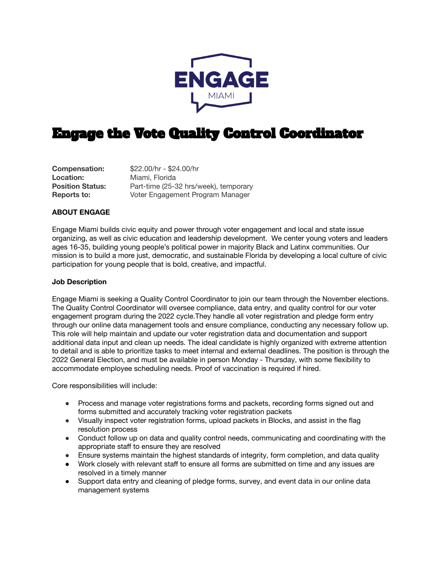

# Engage the Vote Quality Control Coordinator

**Location:** Miami, Florida<br> **Position Status:** Part-time (25-3)

**Compensation:** \$22.00/hr - \$24.00/hr Part-time (25-32 hrs/week), temporary **Reports to:** Voter Engagement Program Manager

# **ABOUT ENGAGE**

Engage Miami builds civic equity and power through voter engagement and local and state issue organizing, as well as civic education and leadership development. We center young voters and leaders ages 16-35, building young people's political power in majority Black and Latinx communities. Our mission is to build a more just, democratic, and sustainable Florida by developing a local culture of civic participation for young people that is bold, creative, and impactful.

#### **Job Description**

Engage Miami is seeking a Quality Control Coordinator to join our team through the November elections. The Quality Control Coordinator will oversee compliance, data entry, and quality control for our voter engagement program during the 2022 cycle.They handle all voter registration and pledge form entry through our online data management tools and ensure compliance, conducting any necessary follow up. This role will help maintain and update our voter registration data and documentation and support additional data input and clean up needs. The ideal candidate is highly organized with extreme attention to detail and is able to prioritize tasks to meet internal and external deadlines. The position is through the 2022 General Election, and must be available in person Monday - Thursday, with some flexibility to accommodate employee scheduling needs. Proof of vaccination is required if hired.

Core responsibilities will include:

- Process and manage voter registrations forms and packets, recording forms signed out and forms submitted and accurately tracking voter registration packets
- Visually inspect voter registration forms, upload packets in Blocks, and assist in the flag resolution process
- Conduct follow up on data and quality control needs, communicating and coordinating with the appropriate staff to ensure they are resolved
- Ensure systems maintain the highest standards of integrity, form completion, and data quality
- Work closely with relevant staff to ensure all forms are submitted on time and any issues are resolved in a timely manner
- Support data entry and cleaning of pledge forms, survey, and event data in our online data management systems